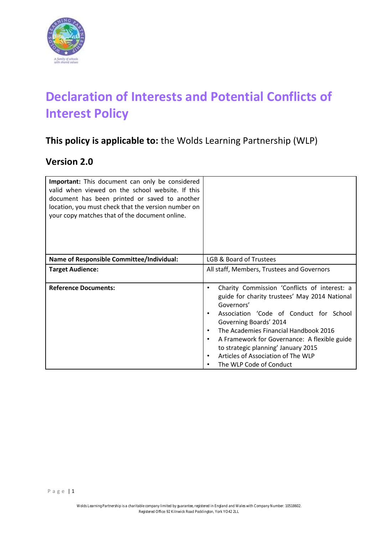

# **Declaration of Interests and Potential Conflicts of Interest Policy**

# **This policy is applicable to:** the Wolds Learning Partnership (WLP)

## **Version 2.0**

| <b>Important:</b> This document can only be considered<br>valid when viewed on the school website. If this<br>document has been printed or saved to another<br>location, you must check that the version number on<br>your copy matches that of the document online. |                                                                                                                                                                                                                                                                                                                                                                                             |  |  |
|----------------------------------------------------------------------------------------------------------------------------------------------------------------------------------------------------------------------------------------------------------------------|---------------------------------------------------------------------------------------------------------------------------------------------------------------------------------------------------------------------------------------------------------------------------------------------------------------------------------------------------------------------------------------------|--|--|
| <b>Name of Responsible Committee/Individual:</b>                                                                                                                                                                                                                     | LGB & Board of Trustees                                                                                                                                                                                                                                                                                                                                                                     |  |  |
| <b>Target Audience:</b>                                                                                                                                                                                                                                              | All staff, Members, Trustees and Governors                                                                                                                                                                                                                                                                                                                                                  |  |  |
| <b>Reference Documents:</b>                                                                                                                                                                                                                                          | Charity Commission 'Conflicts of interest: a<br>٠<br>guide for charity trustees' May 2014 National<br>Governors'<br>Association 'Code of Conduct for School<br>Governing Boards' 2014<br>The Academies Financial Handbook 2016<br>A Framework for Governance: A flexible guide<br>to strategic planning' January 2015<br>Articles of Association of The WLP<br>٠<br>The WLP Code of Conduct |  |  |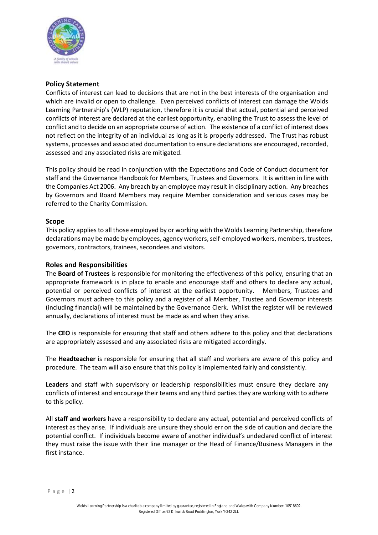

#### **Policy Statement**

Conflicts of interest can lead to decisions that are not in the best interests of the organisation and which are invalid or open to challenge. Even perceived conflicts of interest can damage the Wolds Learning Partnership's (WLP) reputation, therefore it is crucial that actual, potential and perceived conflicts of interest are declared at the earliest opportunity, enabling the Trust to assess the level of conflict and to decide on an appropriate course of action. The existence of a conflict of interest does not reflect on the integrity of an individual as long as it is properly addressed. The Trust has robust systems, processes and associated documentation to ensure declarations are encouraged, recorded, assessed and any associated risks are mitigated.

This policy should be read in conjunction with the Expectations and Code of Conduct document for staff and the Governance Handbook for Members, Trustees and Governors. It is written in line with the Companies Act 2006. Any breach by an employee may result in disciplinary action. Any breaches by Governors and Board Members may require Member consideration and serious cases may be referred to the Charity Commission.

#### **Scope**

This policy applies to all those employed by or working with the Wolds Learning Partnership, therefore declarations may be made by employees, agency workers, self-employed workers, members, trustees, governors, contractors, trainees, secondees and visitors.

#### **Roles and Responsibilities**

The **Board of Trustees** is responsible for monitoring the effectiveness of this policy, ensuring that an appropriate framework is in place to enable and encourage staff and others to declare any actual, potential or perceived conflicts of interest at the earliest opportunity. Members, Trustees and Governors must adhere to this policy and a register of all Member, Trustee and Governor interests (including financial) will be maintained by the Governance Clerk. Whilst the register will be reviewed annually, declarations of interest must be made as and when they arise.

The **CEO** is responsible for ensuring that staff and others adhere to this policy and that declarations are appropriately assessed and any associated risks are mitigated accordingly.

The **Headteacher** is responsible for ensuring that all staff and workers are aware of this policy and procedure. The team will also ensure that this policy is implemented fairly and consistently.

**Leaders** and staff with supervisory or leadership responsibilities must ensure they declare any conflicts of interest and encourage their teams and any third parties they are working with to adhere to this policy.

All **staff and workers** have a responsibility to declare any actual, potential and perceived conflicts of interest as they arise. If individuals are unsure they should err on the side of caution and declare the potential conflict. If individuals become aware of another individual's undeclared conflict of interest they must raise the issue with their line manager or the Head of Finance/Business Managers in the first instance.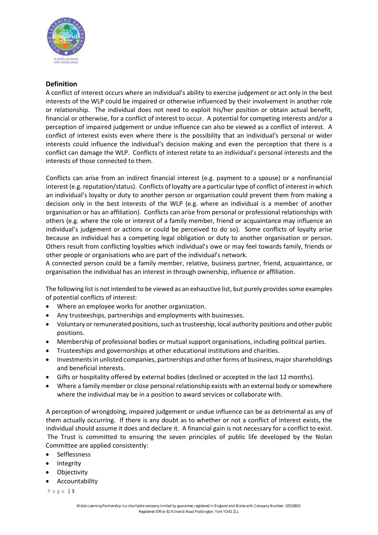

#### **Definition**

A conflict of interest occurs where an individual's ability to exercise judgement or act only in the best interests of the WLP could be impaired or otherwise influenced by their involvement in another role or relationship. The individual does not need to exploit his/her position or obtain actual benefit, financial or otherwise, for a conflict of interest to occur. A potential for competing interests and/or a perception of impaired judgement or undue influence can also be viewed as a conflict of interest. A conflict of interest exists even where there is the possibility that an individual's personal or wider interests could influence the individual's decision making and even the perception that there is a conflict can damage the WLP. Conflicts of interest relate to an individual's personal interests and the interests of those connected to them.

Conflicts can arise from an indirect financial interest (e.g. payment to a spouse) or a nonfinancial interest (e.g. reputation/status). Conflicts of loyalty are a particular type of conflict of interest in which an individual's loyalty or duty to another person or organisation could prevent them from making a decision only in the best interests of the WLP (e.g. where an individual is a member of another organisation or has an affiliation). Conflicts can arise from personal or professional relationships with others (e.g. where the role or interest of a family member, friend or acquaintance may influence an individual's judgement or actions or could be perceived to do so). Some conflicts of loyalty arise because an individual has a competing legal obligation or duty to another organisation or person. Others result from conflicting loyalties which individual's owe or may feel towards family, friends or other people or organisations who are part of the individual's network.

A connected person could be a family member, relative, business partner, friend, acquaintance, or organisation the individual has an interest in through ownership, influence or affiliation.

The following list is not intended to be viewed as an exhaustive list, but purely provides some examples of potential conflicts of interest:

- Where an employee works for another organization.
- Any trusteeships, partnerships and employments with businesses.
- Voluntary or remunerated positions, such as trusteeship, local authority positions and other public positions.
- Membership of professional bodies or mutual support organisations, including political parties.
- Trusteeships and governorships at other educational institutions and charities.
- Investments in unlisted companies, partnerships and other forms of business, major shareholdings and beneficial interests.
- Gifts or hospitality offered by external bodies (declined or accepted in the last 12 months).
- Where a family member or close personal relationship exists with an external body or somewhere where the individual may be in a position to award services or collaborate with.

A perception of wrongdoing, impaired judgement or undue influence can be as detrimental as any of them actually occurring. If there is any doubt as to whether or not a conflict of interest exists, the individual should assume it does and declare it. A financial gain is not necessary for a conflict to exist. The Trust is committed to ensuring the seven principles of public life developed by the Nolan Committee are applied consistently:

- Selflessness
- **Integrity**
- **Objectivity**
- **Accountability**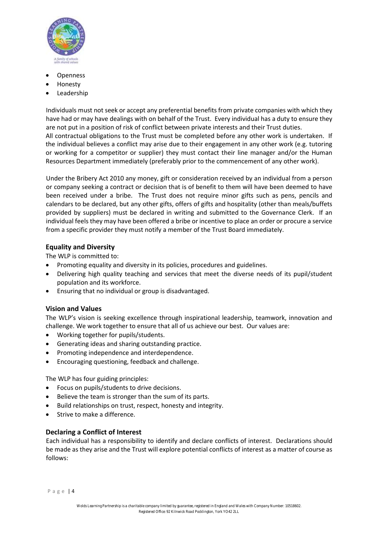

- **Openness**
- Honesty
- **Leadership**

Individuals must not seek or accept any preferential benefits from private companies with which they have had or may have dealings with on behalf of the Trust. Every individual has a duty to ensure they are not put in a position of risk of conflict between private interests and their Trust duties. All contractual obligations to the Trust must be completed before any other work is undertaken. If the individual believes a conflict may arise due to their engagement in any other work (e.g. tutoring or working for a competitor or supplier) they must contact their line manager and/or the Human Resources Department immediately (preferably prior to the commencement of any other work).

Under the Bribery Act 2010 any money, gift or consideration received by an individual from a person or company seeking a contract or decision that is of benefit to them will have been deemed to have been received under a bribe. The Trust does not require minor gifts such as pens, pencils and calendars to be declared, but any other gifts, offers of gifts and hospitality (other than meals/buffets provided by suppliers) must be declared in writing and submitted to the Governance Clerk. If an individual feels they may have been offered a bribe or incentive to place an order or procure a service from a specific provider they must notify a member of the Trust Board immediately.

#### **Equality and Diversity**

The WLP is committed to:

- Promoting equality and diversity in its policies, procedures and guidelines.
- Delivering high quality teaching and services that meet the diverse needs of its pupil/student population and its workforce.
- Ensuring that no individual or group is disadvantaged.

#### **Vision and Values**

The WLP's vision is seeking excellence through inspirational leadership, teamwork, innovation and challenge. We work together to ensure that all of us achieve our best. Our values are:

- Working together for pupils/students.
- Generating ideas and sharing outstanding practice.
- Promoting independence and interdependence.
- Encouraging questioning, feedback and challenge.

The WLP has four guiding principles:

- Focus on pupils/students to drive decisions.
- Believe the team is stronger than the sum of its parts.
- Build relationships on trust, respect, honesty and integrity.
- Strive to make a difference.

#### **Declaring a Conflict of Interest**

Each individual has a responsibility to identify and declare conflicts of interest. Declarations should be made as they arise and the Trust will explore potential conflicts of interest as a matter of course as follows: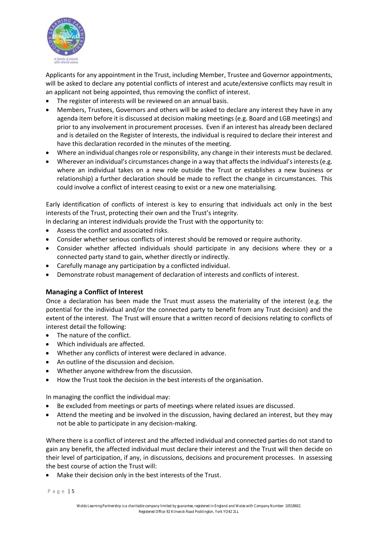

Applicants for any appointment in the Trust, including Member, Trustee and Governor appointments, will be asked to declare any potential conflicts of interest and acute/extensive conflicts may result in an applicant not being appointed, thus removing the conflict of interest.

- The register of interests will be reviewed on an annual basis.
- Members, Trustees, Governors and others will be asked to declare any interest they have in any agenda item before it is discussed at decision making meetings (e.g. Board and LGB meetings) and prior to any involvement in procurement processes. Even if an interest has already been declared and is detailed on the Register of Interests, the individual is required to declare their interest and have this declaration recorded in the minutes of the meeting.
- Where an individual changes role or responsibility, any change in their interests must be declared.
- Wherever an individual's circumstances change in a way that affects the individual's interests (e.g. where an individual takes on a new role outside the Trust or establishes a new business or relationship) a further declaration should be made to reflect the change in circumstances. This could involve a conflict of interest ceasing to exist or a new one materialising.

Early identification of conflicts of interest is key to ensuring that individuals act only in the best interests of the Trust, protecting their own and the Trust's integrity.

- In declaring an interest individuals provide the Trust with the opportunity to:
- Assess the conflict and associated risks.
- Consider whether serious conflicts of interest should be removed or require authority.
- Consider whether affected individuals should participate in any decisions where they or a connected party stand to gain, whether directly or indirectly.
- Carefully manage any participation by a conflicted individual.
- Demonstrate robust management of declaration of interests and conflicts of interest.

#### **Managing a Conflict of Interest**

Once a declaration has been made the Trust must assess the materiality of the interest (e.g. the potential for the individual and/or the connected party to benefit from any Trust decision) and the extent of the interest. The Trust will ensure that a written record of decisions relating to conflicts of interest detail the following:

- The nature of the conflict.
- Which individuals are affected.
- Whether any conflicts of interest were declared in advance.
- An outline of the discussion and decision.
- Whether anyone withdrew from the discussion.
- How the Trust took the decision in the best interests of the organisation.

In managing the conflict the individual may:

- Be excluded from meetings or parts of meetings where related issues are discussed.
- Attend the meeting and be involved in the discussion, having declared an interest, but they may not be able to participate in any decision-making.

Where there is a conflict of interest and the affected individual and connected parties do not stand to gain any benefit, the affected individual must declare their interest and the Trust will then decide on their level of participation, if any, in discussions, decisions and procurement processes. In assessing the best course of action the Trust will:

Make their decision only in the best interests of the Trust.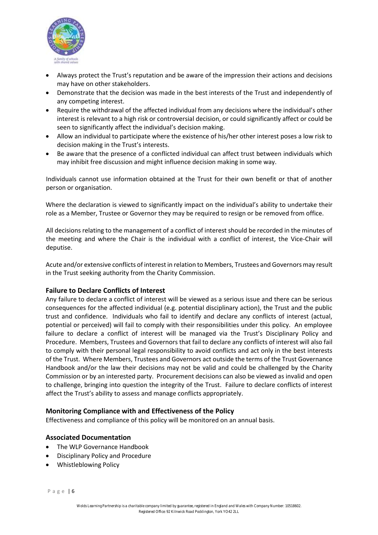

- Always protect the Trust's reputation and be aware of the impression their actions and decisions may have on other stakeholders.
- Demonstrate that the decision was made in the best interests of the Trust and independently of any competing interest.
- Require the withdrawal of the affected individual from any decisions where the individual's other interest is relevant to a high risk or controversial decision, or could significantly affect or could be seen to significantly affect the individual's decision making.
- Allow an individual to participate where the existence of his/her other interest poses a low risk to decision making in the Trust's interests.
- Be aware that the presence of a conflicted individual can affect trust between individuals which may inhibit free discussion and might influence decision making in some way.

Individuals cannot use information obtained at the Trust for their own benefit or that of another person or organisation.

Where the declaration is viewed to significantly impact on the individual's ability to undertake their role as a Member, Trustee or Governor they may be required to resign or be removed from office.

All decisions relating to the management of a conflict of interest should be recorded in the minutes of the meeting and where the Chair is the individual with a conflict of interest, the Vice-Chair will deputise.

Acute and/or extensive conflicts of interest in relation to Members, Trustees and Governors may result in the Trust seeking authority from the Charity Commission.

#### **Failure to Declare Conflicts of Interest**

Any failure to declare a conflict of interest will be viewed as a serious issue and there can be serious consequences for the affected individual (e.g. potential disciplinary action), the Trust and the public trust and confidence. Individuals who fail to identify and declare any conflicts of interest (actual, potential or perceived) will fail to comply with their responsibilities under this policy. An employee failure to declare a conflict of interest will be managed via the Trust's Disciplinary Policy and Procedure. Members, Trustees and Governors that fail to declare any conflicts of interest will also fail to comply with their personal legal responsibility to avoid conflicts and act only in the best interests of the Trust. Where Members, Trustees and Governors act outside the terms of the Trust Governance Handbook and/or the law their decisions may not be valid and could be challenged by the Charity Commission or by an interested party. Procurement decisions can also be viewed as invalid and open to challenge, bringing into question the integrity of the Trust. Failure to declare conflicts of interest affect the Trust's ability to assess and manage conflicts appropriately.

#### **Monitoring Compliance with and Effectiveness of the Policy**

Effectiveness and compliance of this policy will be monitored on an annual basis.

#### **Associated Documentation**

- The WLP Governance Handbook
- Disciplinary Policy and Procedure
- Whistleblowing Policy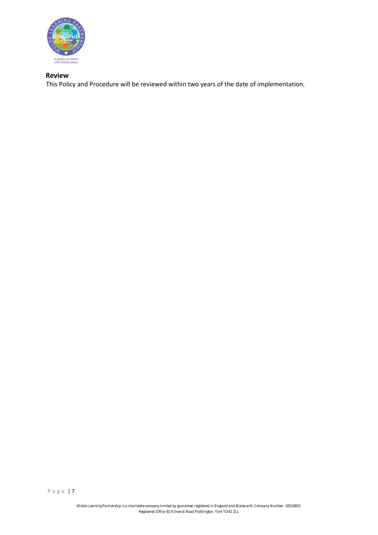

### **Review**

This Policy and Procedure will be reviewed within two years of the date of implementation.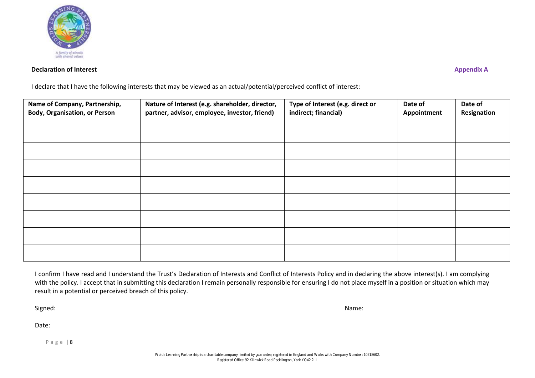

#### **Declaration of Interest** Appendix A

I declare that I have the following interests that may be viewed as an actual/potential/perceived conflict of interest:

| Name of Company, Partnership,<br><b>Body, Organisation, or Person</b> | Nature of Interest (e.g. shareholder, director,<br>partner, advisor, employee, investor, friend) | Type of Interest (e.g. direct or<br>indirect; financial) | Date of<br>Appointment | Date of<br>Resignation |
|-----------------------------------------------------------------------|--------------------------------------------------------------------------------------------------|----------------------------------------------------------|------------------------|------------------------|
|                                                                       |                                                                                                  |                                                          |                        |                        |
|                                                                       |                                                                                                  |                                                          |                        |                        |
|                                                                       |                                                                                                  |                                                          |                        |                        |
|                                                                       |                                                                                                  |                                                          |                        |                        |
|                                                                       |                                                                                                  |                                                          |                        |                        |
|                                                                       |                                                                                                  |                                                          |                        |                        |
|                                                                       |                                                                                                  |                                                          |                        |                        |
|                                                                       |                                                                                                  |                                                          |                        |                        |

I confirm I have read and I understand the Trust's Declaration of Interests and Conflict of Interests Policy and in declaring the above interest(s). I am complying with the policy. I accept that in submitting this declaration I remain personally responsible for ensuring I do not place myself in a position or situation which may result in a potential or perceived breach of this policy.

Signed: Name: Name: Name: Name: Name: Name: Name: Name: Name: Name: Name: Name: Name: Name: Name: Name: Name: Name: Name: Name: Name: Name: Name: Name: Name: Name: Name: Name: Name: Name: Name: Name: Name: Name: Name: Name

Date: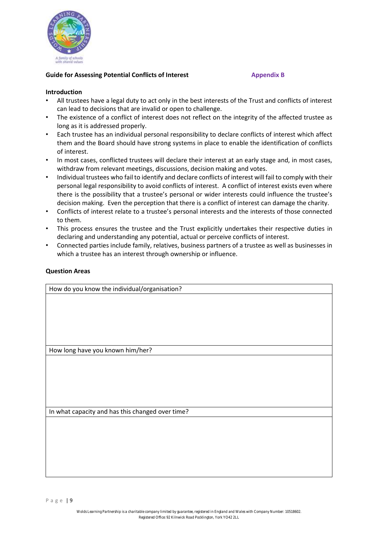

#### **Guide for Assessing Potential Conflicts of Interest Formula Appendix B**

#### **Introduction**

- All trustees have a legal duty to act only in the best interests of the Trust and conflicts of interest can lead to decisions that are invalid or open to challenge.
- The existence of a conflict of interest does not reflect on the integrity of the affected trustee as long as it is addressed properly.
- Each trustee has an individual personal responsibility to declare conflicts of interest which affect them and the Board should have strong systems in place to enable the identification of conflicts of interest.
- In most cases, conflicted trustees will declare their interest at an early stage and, in most cases, withdraw from relevant meetings, discussions, decision making and votes.
- Individual trustees who fail to identify and declare conflicts of interest will fail to comply with their personal legal responsibility to avoid conflicts of interest. A conflict of interest exists even where there is the possibility that a trustee's personal or wider interests could influence the trustee's decision making. Even the perception that there is a conflict of interest can damage the charity.
- Conflicts of interest relate to a trustee's personal interests and the interests of those connected to them.
- This process ensures the trustee and the Trust explicitly undertakes their respective duties in declaring and understanding any potential, actual or perceive conflicts of interest.
- Connected parties include family, relatives, business partners of a trustee as well as businesses in which a trustee has an interest through ownership or influence.

#### **Question Areas**

How do you know the individual/organisation?

How long have you known him/her?

In what capacity and has this changed over time?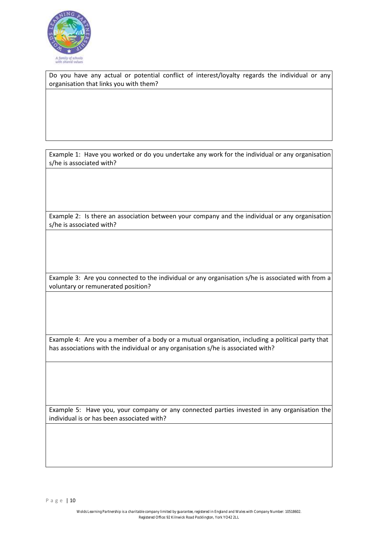

Do you have any actual or potential conflict of interest/loyalty regards the individual or any organisation that links you with them?

Example 1: Have you worked or do you undertake any work for the individual or any organisation s/he is associated with?

Example 2: Is there an association between your company and the individual or any organisation s/he is associated with?

Example 3: Are you connected to the individual or any organisation s/he is associated with from a voluntary or remunerated position?

Example 4: Are you a member of a body or a mutual organisation, including a political party that has associations with the individual or any organisation s/he is associated with?

Example 5: Have you, your company or any connected parties invested in any organisation the individual is or has been associated with?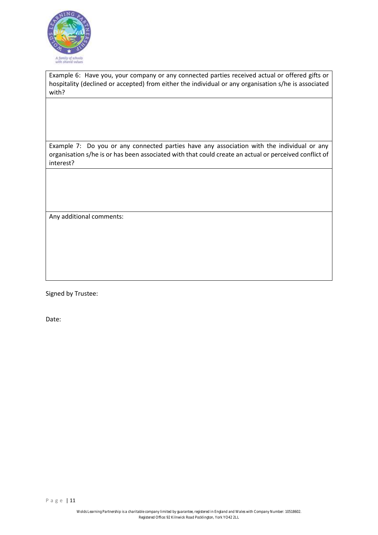

Example 6: Have you, your company or any connected parties received actual or offered gifts or hospitality (declined or accepted) from either the individual or any organisation s/he is associated with?

Example 7: Do you or any connected parties have any association with the individual or any organisation s/he is or has been associated with that could create an actual or perceived conflict of interest?

Any additional comments:

Signed by Trustee:

Date: